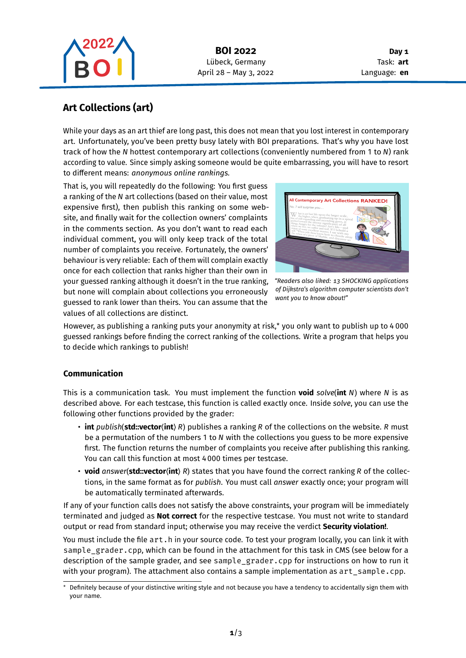

**Day 1** Task: **art** Language: **en**

# **Art Collections (art)**

While your days as an art thief are long past, this does not mean that you lost interest in contemporary art. Unfortunately, you've been pretty busy lately with BOI preparations. That's why you have lost track of how the  $N$  hottest contemporary art collections (conveniently numbered from 1 to  $N$ ) rank according to value. Since simply asking someone would be quite embarrassing, you will have to resort to different means: *anonymous online rankings.*

That is, you will repeatedly do the following: You first guess a ranking of the N art collections (based on their value, most expensive first), then publish this ranking on some website, and finally wait for the collection owners' complaints in the comments section. As you don't want to read each individual comment, you will only keep track of the total number of complaints you receive. Fortunately, the owners' behaviour is very reliable: Each of them will complain exactly once for each collection that ranks higher than their own in your guessed ranking although it doesn't in the true ranking, but none will complain about collections you erroneously guessed to rank lower than theirs. You can assume that the values of all collections are distinct.



*"Readers also liked: 13 SHOCKING applications of Dijkstra's algorithm computer scientists don't want you to know about!"*

However, as publishing a ranking puts your anonymity at risk,\* you only want to publish up to 4 000 guessed rankings before finding the correct ranking of the collections. Write a program that helps you to decide which rankings to publish!

## **Communication**

This is a communication task. You must implement the function **void** solve(int N) where N is as described above. For each testcase, this function is called exactly once. Inside *solve*, you can use the following other functions provided by the grader:

- **int** *publish*(*std::vector* $\langle$ **int**) *R*) publishes a ranking *R* of the collections on the website. *R* must be a permutation of the numbers 1 to N with the collections you guess to be more expensive first. The function returns the number of complaints you receive after publishing this ranking. You can call this function at most 4 000 times per testcase.
- **void** answer(**std::vector** $\langle$ **int** $\rangle$  R) states that you have found the correct ranking R of the collections, in the same format as for *publish*. You must call *answer* exactly once; your program will be automatically terminated afterwards.

If any of your function calls does not satisfy the above constraints, your program will be immediately terminated and judged as **Not correct** for the respective testcase. You must not write to standard output or read from standard input; otherwise you may receive the verdict **Security violation!**.

You must include the file art.h in your source code. To test your program locally, you can link it with sample\_grader.cpp, which can be found in the attachment for this task in CMS (see below for a description of the sample grader, and see sample\_grader.cpp for instructions on how to run it with your program). The attachment also contains a sample implementation as  $art\_sample.cpp$ .

Definitely because of your distinctive writing style and not because you have a tendency to accidentally sign them with your name.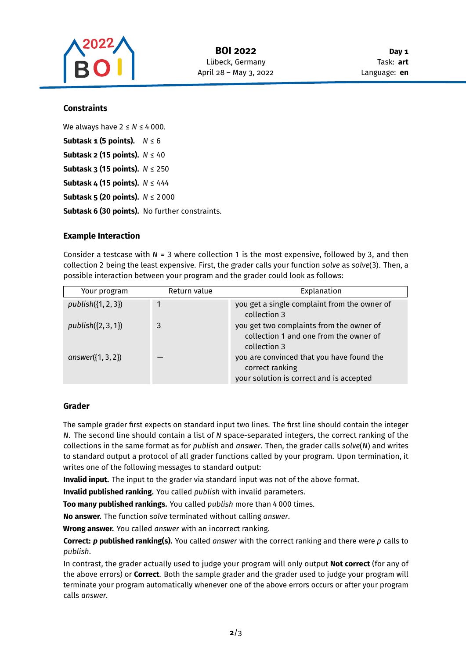

#### **Constraints**

We always have  $2 \le N \le 4000$ . **Subtask 1 (5 points).**  $N \le 6$ **Subtask 2 (15 points).**  $N \leq 40$ **Subtask 3 (15 points).**  $N \le 250$ **Subtask 4 (15 points).**  $N \leq 444$ **Subtask 5 (20 points).**  $N \le 2000$ **Subtask 6 (30 points).** No further constraints.

#### **Example Interaction**

Consider a testcase with  $N = 3$  where collection 1 is the most expensive, followed by 3, and then collection 2 being the least expensive. First, the grader calls your function *solve* as *solve*(3). Then, a possible interaction between your program and the grader could look as follows:

| Your program         | Return value | Explanation                                                                                              |
|----------------------|--------------|----------------------------------------------------------------------------------------------------------|
| $publich({1, 2, 3})$ | $\mathbf{1}$ | you get a single complaint from the owner of<br>collection 3                                             |
| $publich({2, 3, 1})$ | 3            | you get two complaints from the owner of<br>collection 1 and one from the owner of<br>collection 3       |
| answer $({1, 3, 2})$ |              | you are convinced that you have found the<br>correct ranking<br>your solution is correct and is accepted |

#### **Grader**

The sample grader first expects on standard input two lines. The first line should contain the integer  $N$ . The second line should contain a list of  $N$  space-separated integers, the correct ranking of the collections in the same format as for *publish* and *answer*. Then, the grader calls *solve*(N) and writes to standard output a protocol of all grader functions called by your program. Upon termination, it writes one of the following messages to standard output:

**Invalid input.** The input to the grader via standard input was not of the above format.

**Invalid published ranking.** You called *publish* with invalid parameters.

**Too many published rankings.** You called *publish* more than 4 000 times.

**No answer.** The function *solve* terminated without calling *answer*.

**Wrong answer.** You called *answer* with an incorrect ranking.

**Correct: p published ranking(s).** You called answer with the correct ranking and there were p calls to *publish*.

In contrast, the grader actually used to judge your program will only output **Not correct** (for any of the above errors) or **Correct**. Both the sample grader and the grader used to judge your program will terminate your program automatically whenever one of the above errors occurs or after your program calls *answer*.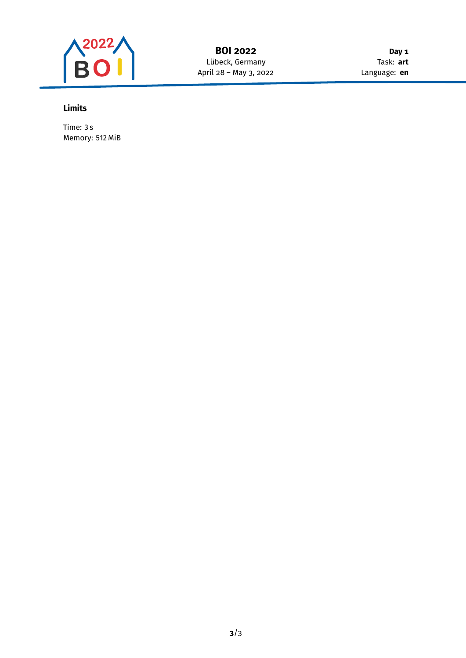

**Day 1** Task: **art** Language: **en**

## **Limits**

Time: 3 s Memory: 512 MiB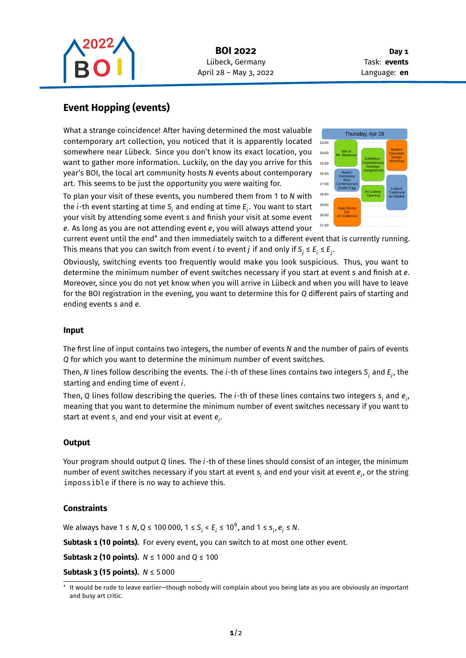

**Day 1** Task: **events** Language: **en**

## **Event Hopping (events)**

What a strange coincidence! After having determined the most valuable contemporary art collection, you noticed that it is apparently located somewhere near Lübeck. Since you don't know its exact location, you want to gather more information. Luckily, on the day you arrive for this year's BOI, the local art community hosts N events about contemporary art. This seems to be just the opportunity you were waiting for.

To plan your visit of these events, you numbered them from 1 to with the  $i$ -th event starting at time  $\boldsymbol{\mathsf{S}}_{i}$  and ending at time  $\boldsymbol{\mathsf{E}}_{i}$ . You want to start your visit by attending some event s and finish your visit at some event e. As long as you are not attending event e, you will always attend your



current event until the end\* and then immediately switch to a different event that is currently running. This means that you can switch from event  $i$  to event  $j$  if and only if  $\mathsf{S}_j \leq \mathsf{E}_i \leq \mathsf{E}_j.$ 

Obviously, switching events too frequently would make you look suspicious. Thus, you want to determine the minimum number of event switches necessary if you start at event s and finish at e. Moreover, since you do not yet know when you will arrive in Lübeck and when you will have to leave for the BOI registration in the evening, you want to determine this for Q different pairs of starting and ending events s and e.

## **Input**

The first line of input contains two integers, the number of events N and the number of pairs of events Q for which you want to determine the minimum number of event switches.

Then, N lines follow describing the events. The  $i$ -th of these lines contains two integers  $\bm{\mathsf{S}}_i$  and  $\bm{\mathsf{E}}_i$ , the starting and ending time of event  $i$ .

Then, Q lines follow describing the queries. The *i-*th of these lines contains two integers  $\bm{{\mathsf{s}}}_{\mathsf{i}}$  and  $\bm{e}_{\mathsf{i}}$ , meaning that you want to determine the minimum number of event switches necessary if you want to start at event  $\boldsymbol{s}_i$  and end your visit at event  $\boldsymbol{e}_i.$ 

## **Output**

Your program should output Q lines. The  $i$ -th of these lines should consist of an integer, the minimum number of event switches necessary if you start at event  $\bm{{\mathsf{s}}}_i$  and end your visit at event  $\bm{{e}}_i$ , or the string impossible if there is no way to achieve this.

## **Constraints**

We always have 1 ≤ N, Q ≤ 100 000, 1 ≤ S<sub>i</sub> < E<sub>i</sub> ≤ 10<sup>9</sup>, and 1 ≤ s<sub>i</sub>,  $e_i$  ≤ N.

Subtask 1 (10 points). For every event, you can switch to at most one other event.

**Subtask 2 (10 points).**  $N \le 1000$  and  $Q \le 100$ 

**Subtask 3 (15 points).**  $N \le 5000$ 

It would be rude to leave earlier—though nobody will complain about you being late as you are obviously an important and busy art critic.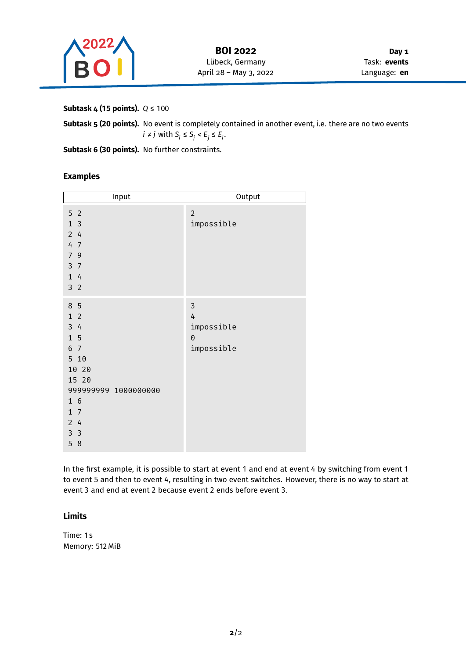

**Day 1** Task: **events** Language: **en**

**Subtask 4 (15 points).** *Q* ≤ 100

**Subtask 5 (20 points).** No event is completely contained in another event, i.e. there are no two events *i* ≠ *j* with S<sub>i</sub> ≤ S<sub>j</sub> < E<sub>j</sub> ≤ E<sub>i</sub>.

Subtask 6 (30 points). No further constraints.

#### **Examples**

| Input                                                                                                                                                            | Output                                         |
|------------------------------------------------------------------------------------------------------------------------------------------------------------------|------------------------------------------------|
| 5 <sub>2</sub><br>1 <sub>3</sub><br>24<br>4 7<br>7 9<br>3 <sub>7</sub><br>1 4<br>3 <sub>2</sub>                                                                  | $\overline{2}$<br>impossible                   |
| 8 5<br>1 <sub>2</sub><br>34<br>$1\overline{5}$<br>6 7<br>5 10<br>10 20<br>15 20<br>999999999 1000000000<br>16<br>$1 \overline{7}$<br>24<br>3 <sup>3</sup><br>5 8 | 3<br>4<br>impossible<br>$\Theta$<br>impossible |

In the first example, it is possible to start at event 1 and end at event 4 by switching from event 1 to event 5 and then to event 4, resulting in two event switches. However, there is no way to start at event 3 and end at event 2 because event 2 ends before event 3.

## **Limits**

Time: 1 s Memory: 512 MiB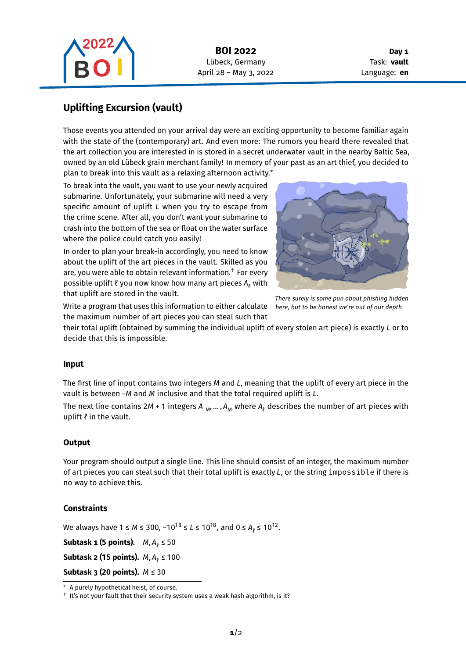

**Day 1** Task: **vault** Language: **en**

## **Uplifting Excursion (vault)**

Those events you attended on your arrival day were an exciting opportunity to become familiar again with the state of the (contemporary) art. And even more: The rumors you heard there revealed that the art collection you are interested in is stored in a secret underwater vault in the nearby Baltic Sea, owned by an old Lübeck grain merchant family! In memory of your past as an art thief, you decided to plan to break into this vault as a relaxing afternoon activity.\*

To break into the vault, you want to use your newly acquired submarine. Unfortunately, your submarine will need a very specific amount of uplift  $L$  when you try to escape from the crime scene. After all, you don't want your submarine to crash into the bottom of the sea or float on the water surface where the police could catch you easily!

In order to plan your break-in accordingly, you need to know about the uplift of the art pieces in the vault. Skilled as you are, you were able to obtain relevant information.† For every possible uplift  $\ell$  you now know how many art pieces  $A_{\ell}$  with that uplift are stored in the vault.



*There surely is some pun about phishing hidden here, but to be honest we're out of our depth*

Write a program that uses this information to either calculate the maximum number of art pieces you can steal such that

their total uplift (obtained by summing the individual uplift of every stolen art piece) is exactly L or to decide that this is impossible.

## **Input**

The first line of input contains two integers  $M$  and  $L$ , meaning that the uplift of every art piece in the vault is between -M and M inclusive and that the total required uplift is L.

The next line contains 2M + 1 integers A<sub>\_M</sub>, … , A<sub>M</sub> where A<sub>ℓ</sub> describes the number of art pieces with uplift  $\ell$  in the vault.

#### **Output**

Your program should output a single line. This line should consist of an integer, the maximum number of art pieces you can steal such that their total uplift is exactly L, or the string impossible if there is no way to achieve this.

## **Constraints**

We always have 1 ≤ M ≤ 300, -10<sup>18</sup> ≤ L ≤ 10<sup>18</sup>, and 0 ≤ A<sub>ℓ</sub> ≤ 10<sup>12</sup>.

**Subtask 1 (5 points).**  $M$ ,  $A$ <sub>l</sub>  $\leq 50$ 

**Subtask 2 (15 points).**  $M$ ,  $A$ <sub>ℓ</sub>  $\leq 100$ 

**Subtask 3 (20 points).**  $M \leq 30$ 

<sup>\*</sup> A purely hypothetical heist, of course.

<sup>†</sup> It's not your fault that their security system uses a weak hash algorithm, is it?